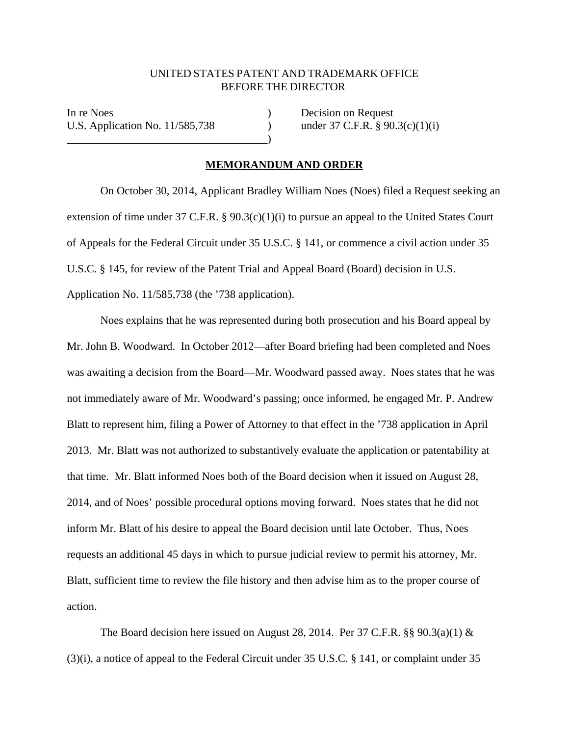## UNITED STATES PATENT AND TRADEMARK OFFICE BEFORE THE DIRECTOR

In re Noes (a) Decision on Request U.S. Application No.  $11/585,738$  ) under 37 C.F.R. § 90.3(c)(1)(i)  $\qquad \qquad \qquad \qquad )$ 

## **MEMORANDUM AND ORDER**

On October 30, 2014, Applicant Bradley William Noes (Noes) filed a Request seeking an extension of time under 37 C.F.R. § 90.3(c)(1)(i) to pursue an appeal to the United States Court of Appeals for the Federal Circuit under 35 U.S.C. § 141, or commence a civil action under 35 U.S.C. § 145, for review of the Patent Trial and Appeal Board (Board) decision in U.S. Application No. 11/585,738 (the '738 application).

Noes explains that he was represented during both prosecution and his Board appeal by Mr. John B. Woodward. In October 2012—after Board briefing had been completed and Noes was awaiting a decision from the Board—Mr. Woodward passed away. Noes states that he was not immediately aware of Mr. Woodward's passing; once informed, he engaged Mr. P. Andrew Blatt to represent him, filing a Power of Attorney to that effect in the '738 application in April 2013. Mr. Blatt was not authorized to substantively evaluate the application or patentability at that time. Mr. Blatt informed Noes both of the Board decision when it issued on August 28, 2014, and of Noes' possible procedural options moving forward. Noes states that he did not inform Mr. Blatt of his desire to appeal the Board decision until late October. Thus, Noes requests an additional 45 days in which to pursue judicial review to permit his attorney, Mr. Blatt, sufficient time to review the file history and then advise him as to the proper course of action.

The Board decision here issued on August 28, 2014. Per 37 C.F.R.  $\S$ § 90.3(a)(1) & (3)(i), a notice of appeal to the Federal Circuit under 35 U.S.C. § 141, or complaint under 35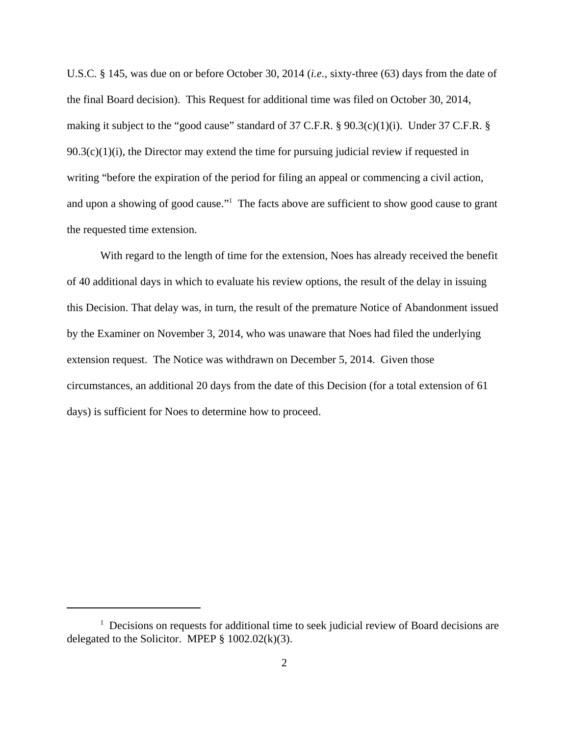U.S.C. § 145, was due on or before October 30, 2014 (*i.e.*, sixty-three (63) days from the date of the final Board decision). This Request for additional time was filed on October 30, 2014, making it subject to the "good cause" standard of 37 C.F.R. § 90.3(c)(1)(i). Under 37 C.F.R. §  $90.3(c)(1)(i)$ , the Director may extend the time for pursuing judicial review if requested in writing "before the expiration of the period for filing an appeal or commencing a civil action, and upon a showing of good cause."<sup>1</sup> The facts above are sufficient to show good cause to grant the requested time extension.

With regard to the length of time for the extension, Noes has already received the benefit of 40 additional days in which to evaluate his review options, the result of the delay in issuing this Decision. That delay was, in turn, the result of the premature Notice of Abandonment issued by the Examiner on November 3, 2014, who was unaware that Noes had filed the underlying extension request. The Notice was withdrawn on December 5, 2014. Given those circumstances, an additional 20 days from the date of this Decision (for a total extension of 61 days) is sufficient for Noes to determine how to proceed.

<sup>&</sup>lt;sup>1</sup> Decisions on requests for additional time to seek judicial review of Board decisions are delegated to the Solicitor. MPEP  $\S$  1002.02(k)(3).